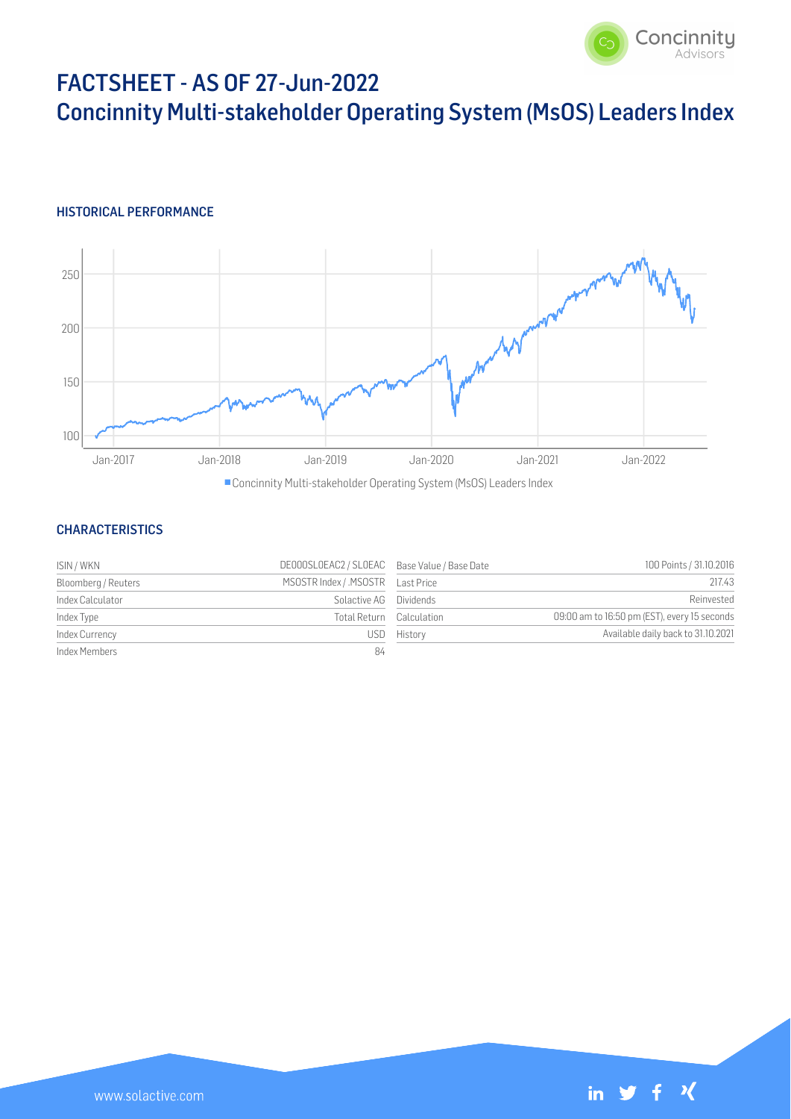

# FACTSHEET - AS OF 27-Jun-2022 Concinnity Multi-stakeholder Operating System (MsOS) Leaders Index

## HISTORICAL PERFORMANCE



Concinnity Multi-stakeholder Operating System (MsOS) Leaders Index

## **CHARACTERISTICS**

| ISIN / WKN          | DE000SLOEAC2 / SLOEAC Base Value / Base Date |                          | 100 Points / 31.10.2016                      |
|---------------------|----------------------------------------------|--------------------------|----------------------------------------------|
| Bloomberg / Reuters |                                              |                          | 217.43                                       |
| Index Calculator    | Solactive AG Dividends                       |                          | Reinvested                                   |
| Index Type          |                                              | Total Return Calculation | 09:00 am to 16:50 pm (EST), every 15 seconds |
| Index Currency      |                                              | USD History              | Available daily back to 31.10.2021           |
| Index Members       | 84                                           |                          |                                              |

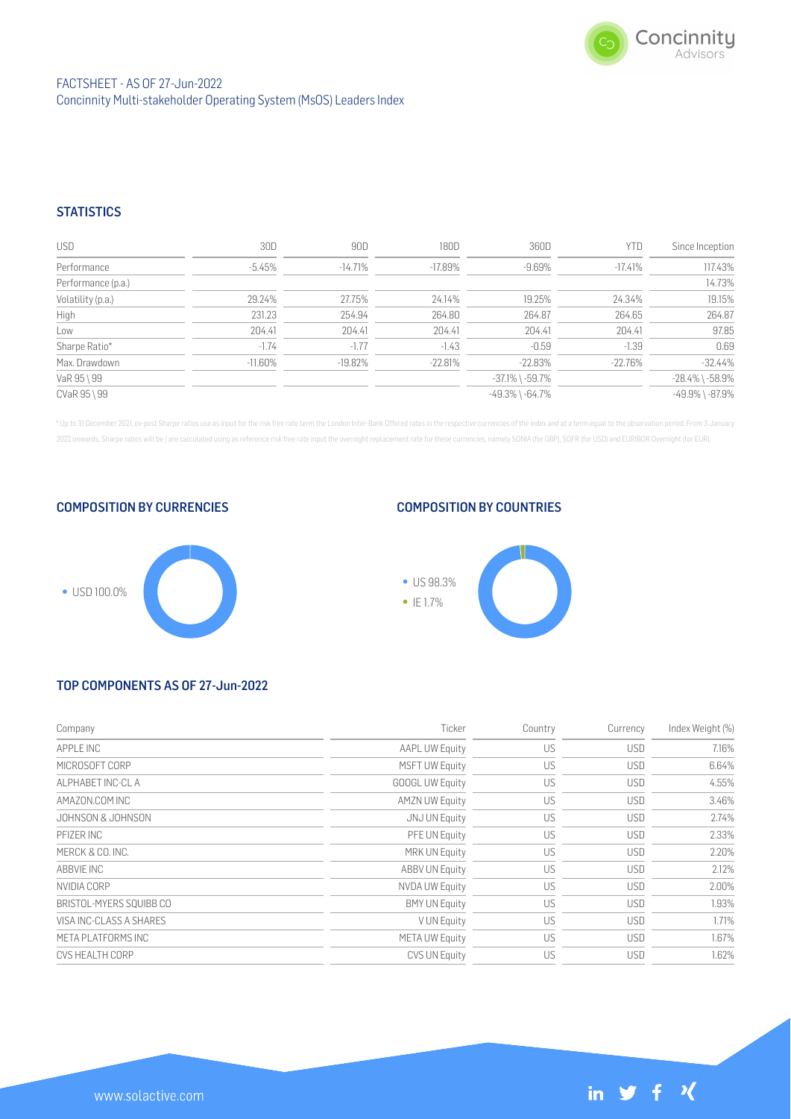

in  $y + y$ 

# **STATISTICS**

| <b>USD</b>         | 30D        | 90D        | 180D      | 360D                  | YTD       | Since Inception       |
|--------------------|------------|------------|-----------|-----------------------|-----------|-----------------------|
| Performance        | $-5.45\%$  | $-14.71\%$ | -17.89%   | $-9.69%$              | $-17.41%$ | 117.43%               |
| Performance (p.a.) |            |            |           |                       |           | 14.73%                |
| Volatility (p.a.)  | 29.24%     | 27.75%     | 24.14%    | 19.25%                | 24.34%    | 19.15%                |
| High               | 231.23     | 254.94     | 264.80    | 264.87                | 264.65    | 264.87                |
| Low                | 204.41     | 204.41     | 204.41    | 204.41                | 204.41    | 97.85                 |
| Sharpe Ratio*      | $-1.74$    | $-1.77$    | $-1.43$   | $-0.59$               | $-1.39$   | 0.69                  |
| Max. Drawdown      | $-11.60\%$ | $-19.82\%$ | $-22.81%$ | $-22.83%$             | $-22.76%$ | $-32.44%$             |
| VaR 95 \ 99        |            |            |           | $-37.1\%$ \ $-59.7\%$ |           | $-28.4\%$ \ $-58.9\%$ |
| CVaR 95 \ 99       |            |            |           | $-49.3\%$ \ $-64.7\%$ |           | $-49.9\%$ \ $-87.9\%$ |

\* Up to 31 December 2021, ex-post Sharpe ratios use as input for the risk free rate term the London Inter-Bank Offered rates in the respective currencies of the index and at a term equal to the observation period. From 3 J 2022 onwards, Sharpe ratios will be / are calculated using as reference risk free rate input the overnight replacement rate for these currencies, namely SONIA (for GBP), SOFR (for USD) and EURIBOR Overnight (for EUR).

COMPOSITION BY CURRENCIES



### COMPOSITION BY COUNTRIES



# TOP COMPONENTS AS OF 27-Jun-2022

| Ticker                 | Country   | Currency   | Index Weight (%) |
|------------------------|-----------|------------|------------------|
| <b>AAPL UW Equity</b>  | US        | <b>USD</b> | 7.16%            |
| <b>MSFT UW Equity</b>  | US        | <b>USD</b> | 6.64%            |
| <b>GOOGL UW Equity</b> | US        | <b>USD</b> | 4.55%            |
| <b>AMZN UW Equity</b>  | US        | <b>USD</b> | 3.46%            |
| JNJ UN Equity          | US        | <b>USD</b> | 2.74%            |
| PFE UN Equity          | US        | <b>USD</b> | 2.33%            |
| <b>MRK UN Equity</b>   | US        | <b>USD</b> | 2.20%            |
| <b>ABBV UN Equity</b>  | <b>US</b> | <b>USD</b> | 2.12%            |
| <b>NVDA UW Equity</b>  | US        | <b>USD</b> | 2.00%            |
| <b>BMY UN Equity</b>   | US        | <b>USD</b> | 1.93%            |
| V UN Equity            | US        | <b>USD</b> | 1.71%            |
| <b>META UW Equity</b>  | US        | <b>USD</b> | 1.67%            |
| CVS UN Equity          | US        | <b>USD</b> | 1.62%            |
|                        |           |            |                  |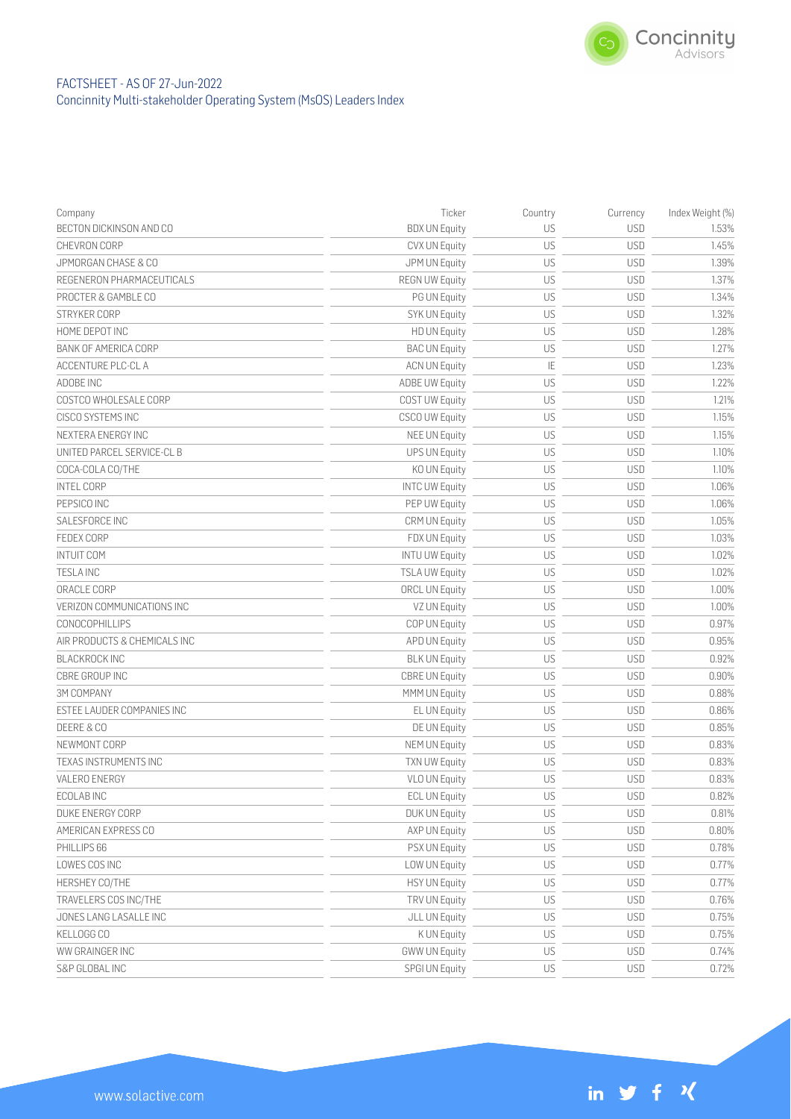

# FACTSHEET - AS OF 27-Jun-2022 Concinnity Multi-stakeholder Operating System (MsOS) Leaders Index

| Company                      | Ticker                | Country | Currency   | Index Weight (%) |
|------------------------------|-----------------------|---------|------------|------------------|
| BECTON DICKINSON AND CO      | <b>BDX UN Equity</b>  | US      | <b>USD</b> | 1.53%            |
| CHEVRON CORP                 | CVX UN Equity         | US      | <b>USD</b> | 1.45%            |
| JPMORGAN CHASE & CO          | JPM UN Equity         | US      | <b>USD</b> | 1.39%            |
| REGENERON PHARMACEUTICALS    | <b>REGN UW Equity</b> | US      | <b>USD</b> | 1.37%            |
| PROCTER & GAMBLE CO          | PG UN Equity          | US      | <b>USD</b> | 1.34%            |
| STRYKER CORP                 | <b>SYK UN Equity</b>  | US      | <b>USD</b> | 1.32%            |
| HOME DEPOT INC               | <b>HD UN Equity</b>   | US      | <b>USD</b> | 1.28%            |
| <b>BANK OF AMERICA CORP</b>  | <b>BAC UN Equity</b>  | US      | <b>USD</b> | 1.27%            |
| ACCENTURE PLC-CL A           | <b>ACN UN Equity</b>  | IE      | <b>USD</b> | 1.23%            |
| ADOBE INC                    | <b>ADBE UW Equity</b> | US      | <b>USD</b> | 1.22%            |
| COSTCO WHOLESALE CORP        | <b>COST UW Equity</b> | US      | <b>USD</b> | 1.21%            |
| CISCO SYSTEMS INC            | <b>CSCO UW Equity</b> | US      | <b>USD</b> | 1.15%            |
| NEXTERA ENERGY INC           | <b>NEE UN Equity</b>  | US      | <b>USD</b> | 1.15%            |
| UNITED PARCEL SERVICE-CL B   | <b>UPS UN Equity</b>  | US      | <b>USD</b> | 1.10%            |
| COCA-COLA CO/THE             | KO UN Equity          | US      | <b>USD</b> | 1.10%            |
| <b>INTEL CORP</b>            | <b>INTC UW Equity</b> | US      | <b>USD</b> | 1.06%            |
| PEPSICO INC                  | PEP UW Equity         | US      | <b>USD</b> | 1.06%            |
| SALESFORCE INC               | <b>CRM UN Equity</b>  | US      | <b>USD</b> | 1.05%            |
| FEDEX CORP                   | FDX UN Equity         | US      | <b>USD</b> | 1.03%            |
| <b>INTUIT COM</b>            | <b>INTU UW Equity</b> | US      | <b>USD</b> | 1.02%            |
| <b>TESLA INC</b>             | <b>TSLA UW Equity</b> | US      | <b>USD</b> | 1.02%            |
| ORACLE CORP                  | ORCL UN Equity        | US      | <b>USD</b> | 1.00%            |
| VERIZON COMMUNICATIONS INC   | VZ UN Equity          | US      | <b>USD</b> | 1.00%            |
| CONOCOPHILLIPS               | COP UN Equity         | US      | <b>USD</b> | 0.97%            |
| AIR PRODUCTS & CHEMICALS INC | APD UN Equity         | US      | <b>USD</b> | 0.95%            |
| <b>BLACKROCK INC</b>         | <b>BLK UN Equity</b>  | US      | <b>USD</b> | 0.92%            |
| CBRE GROUP INC               | <b>CBRE UN Equity</b> | US      | <b>USD</b> | 0.90%            |
| <b>3M COMPANY</b>            | MMM UN Equity         | US      | <b>USD</b> | 0.88%            |
| ESTEE LAUDER COMPANIES INC   | EL UN Equity          | US      | <b>USD</b> | 0.86%            |
| DEERE & CO                   | DE UN Equity          | US      | <b>USD</b> | 0.85%            |
| NEWMONT CORP                 | <b>NEM UN Equity</b>  | US      | <b>USD</b> | 0.83%            |
| TEXAS INSTRUMENTS INC        | <b>TXN UW Equity</b>  | US      | <b>USD</b> | 0.83%            |
| VALERO ENERGY                | <b>VLO UN Equity</b>  | US      | <b>USD</b> | 0.83%            |
| ECOLAB INC                   | <b>ECL UN Equity</b>  | US      | <b>USD</b> | 0.82%            |
| DUKE ENERGY CORP             | <b>DUK UN Equity</b>  | US      | <b>USD</b> | 0.81%            |
| AMERICAN EXPRESS CO          | AXP UN Equity         | US      | <b>USD</b> | 0.80%            |
| PHILLIPS 66                  | PSX UN Equity         | US      | <b>USD</b> | 0.78%            |
| LOWES COS INC                | LOW UN Equity         | US      | <b>USD</b> | 0.77%            |
| HERSHEY CO/THE               | <b>HSY UN Equity</b>  | US      | <b>USD</b> | 0.77%            |
| TRAVELERS COS INC/THE        | TRV UN Equity         | US      | <b>USD</b> | 0.76%            |
| JONES LANG LASALLE INC       | JLL UN Equity         | US      | <b>USD</b> | 0.75%            |
| KELLOGG CO                   | K UN Equity           | US      | <b>USD</b> | 0.75%            |
| WW GRAINGER INC              | <b>GWW UN Equity</b>  | US      | <b>USD</b> | 0.74%            |
| S&P GLOBAL INC               | SPGI UN Equity        | US      | <b>USD</b> | 0.72%            |

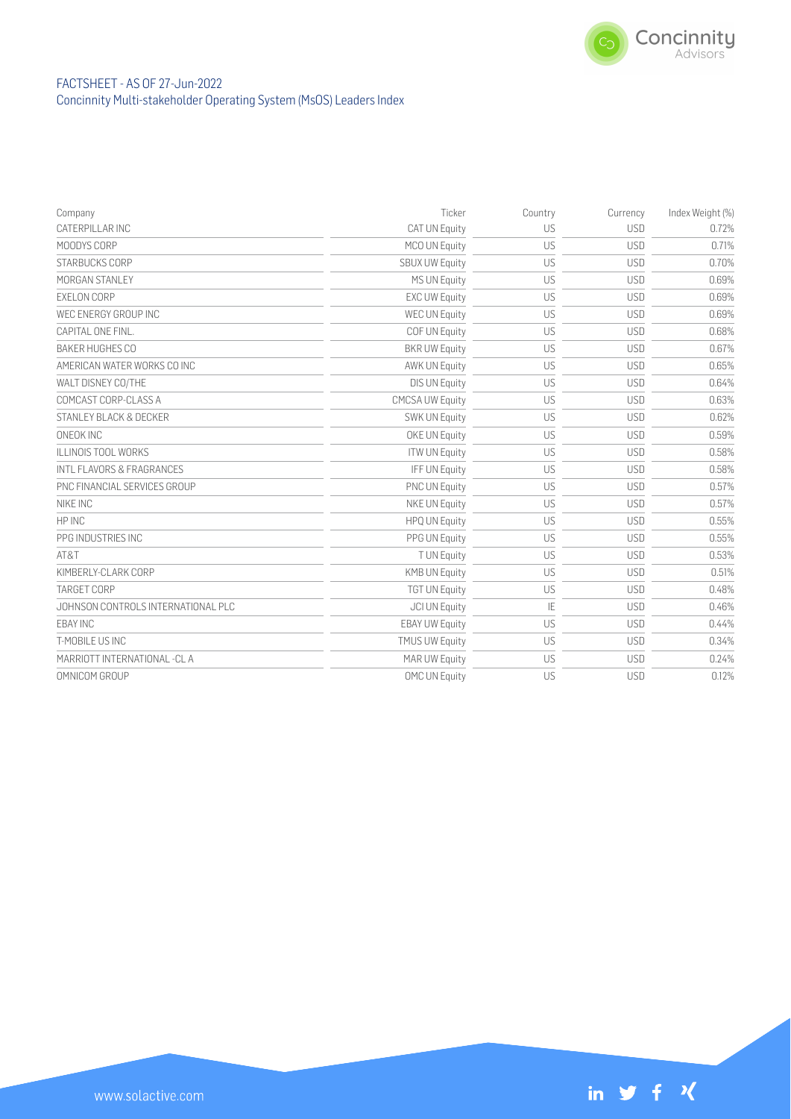

# FACTSHEET - AS OF 27-Jun-2022 Concinnity Multi-stakeholder Operating System (MsOS) Leaders Index

| Company                            | Ticker                 | Country | Currency   | Index Weight (%) |
|------------------------------------|------------------------|---------|------------|------------------|
| CATERPILLAR INC                    | <b>CAT UN Equity</b>   | US      | <b>USD</b> | 0.72%            |
| MOODYS CORP                        | MCO UN Equity          | US      | <b>USD</b> | 0.71%            |
| STARBUCKS CORP                     | <b>SBUX UW Equity</b>  | US      | <b>USD</b> | 0.70%            |
| MORGAN STANLEY                     | <b>MS UN Equity</b>    | US      | <b>USD</b> | 0.69%            |
| EXELON CORP                        | <b>EXC UW Equity</b>   | US      | <b>USD</b> | 0.69%            |
| WEC ENERGY GROUP INC               | <b>WEC UN Equity</b>   | US      | <b>USD</b> | 0.69%            |
| CAPITAL ONE FINL.                  | COF UN Equity          | US      | <b>USD</b> | 0.68%            |
| <b>BAKER HUGHES CO</b>             | <b>BKR UW Equity</b>   | US      | <b>USD</b> | 0.67%            |
| AMERICAN WATER WORKS CO INC        | <b>AWK UN Equity</b>   | US      | <b>USD</b> | 0.65%            |
| WALT DISNEY CO/THE                 | <b>DIS UN Equity</b>   | US      | <b>USD</b> | 0.64%            |
| COMCAST CORP-CLASS A               | <b>CMCSA UW Equity</b> | US      | <b>USD</b> | 0.63%            |
| STANLEY BLACK & DECKER             | SWK UN Equity          | US      | <b>USD</b> | 0.62%            |
| ONEOK INC                          | OKE UN Equity          | US      | <b>USD</b> | 0.59%            |
| <b>ILLINOIS TOOL WORKS</b>         | <b>ITW UN Equity</b>   | US      | <b>USD</b> | 0.58%            |
| INTL FLAVORS & FRAGRANCES          | IFF UN Equity          | US      | <b>USD</b> | 0.58%            |
| PNC FINANCIAL SERVICES GROUP       | <b>PNC UN Equity</b>   | US      | <b>USD</b> | 0.57%            |
| NIKE INC                           | NKE UN Equity          | US      | <b>USD</b> | 0.57%            |
| HP INC                             | <b>HPQ UN Equity</b>   | US      | <b>USD</b> | 0.55%            |
| PPG INDUSTRIES INC                 | PPG UN Equity          | US      | <b>USD</b> | 0.55%            |
| AT&T                               | T UN Equity            | US      | <b>USD</b> | 0.53%            |
| KIMBERLY-CLARK CORP                | <b>KMB UN Equity</b>   | US      | <b>USD</b> | 0.51%            |
| TARGET CORP                        | <b>TGT UN Equity</b>   | US      | <b>USD</b> | 0.48%            |
| JOHNSON CONTROLS INTERNATIONAL PLC | <b>JCI UN Equity</b>   | IE      | <b>USD</b> | 0.46%            |
| <b>EBAY INC</b>                    | <b>EBAY UW Equity</b>  | US      | <b>USD</b> | 0.44%            |
| T-MOBILE US INC                    | <b>TMUS UW Equity</b>  | US      | <b>USD</b> | 0.34%            |
| MARRIOTT INTERNATIONAL -CL A       | MAR UW Equity          | US      | <b>USD</b> | 0.24%            |
| OMNICOM GROUP                      | OMC UN Equity          | US      | <b>USD</b> | 0.12%            |